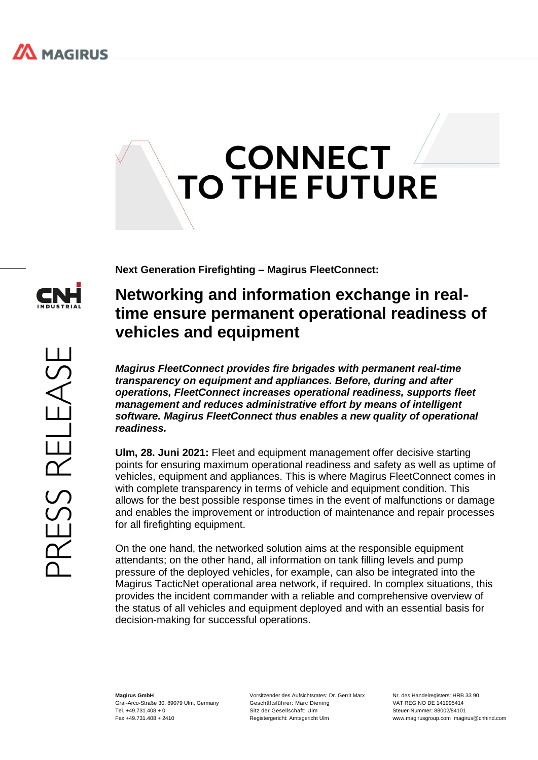# **CONNECT TO THE FUTURE**



ESS RELEASE

**Next Generation Firefighting – Magirus FleetConnect:**

## **Networking and information exchange in realtime ensure permanent operational readiness of vehicles and equipment**

*Magirus FleetConnect provides fire brigades with permanent real-time transparency on equipment and appliances. Before, during and after operations, FleetConnect increases operational readiness, supports fleet management and reduces administrative effort by means of intelligent software. Magirus FleetConnect thus enables a new quality of operational readiness.*

**Ulm, 28. Juni 2021:** Fleet and equipment management offer decisive starting points for ensuring maximum operational readiness and safety as well as uptime of vehicles, equipment and appliances. This is where Magirus FleetConnect comes in with complete transparency in terms of vehicle and equipment condition. This allows for the best possible response times in the event of malfunctions or damage and enables the improvement or introduction of maintenance and repair processes for all firefighting equipment.

On the one hand, the networked solution aims at the responsible equipment attendants; on the other hand, all information on tank filling levels and pump pressure of the deployed vehicles, for example, can also be integrated into the Magirus TacticNet operational area network, if required. In complex situations, this provides the incident commander with a reliable and comprehensive overview of the status of all vehicles and equipment deployed and with an essential basis for decision-making for successful operations.

**Magirus GmbH** Graf-Arco-Straße 30, 89079 Ulm, Germany  $Tel +49731408 + 0$ Fax +49.731.408 + 2410

Vorsitzender des Aufsichtsrates: Dr. Gerrit Marx Geschäftsführer: Marc Diening Sitz der Gesellschaft: Ulm Registergericht: Amtsgericht Ulm

Nr. des Handelregisters: HRB 33 90 VAT REG NO DE 141995414 Steuer-Nummer: 88002/84101 www.magirusgroup.com magirus@cnhind.com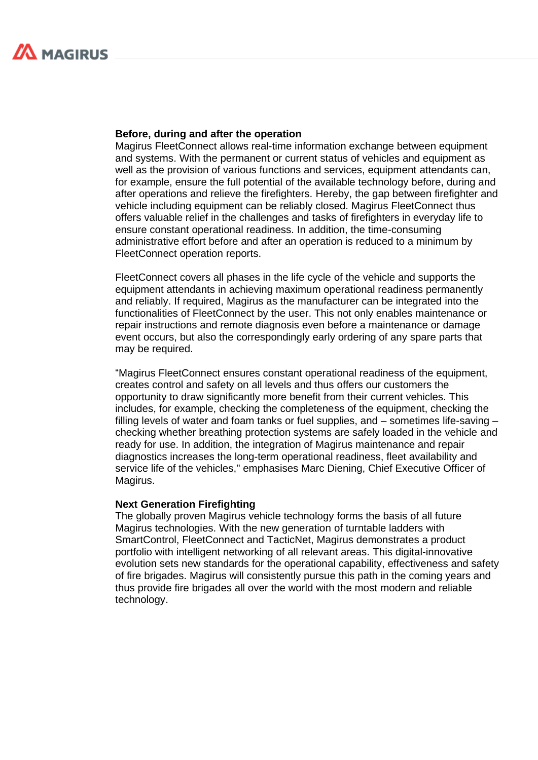#### **Before, during and after the operation**

Magirus FleetConnect allows real-time information exchange between equipment and systems. With the permanent or current status of vehicles and equipment as well as the provision of various functions and services, equipment attendants can, for example, ensure the full potential of the available technology before, during and after operations and relieve the firefighters. Hereby, the gap between firefighter and vehicle including equipment can be reliably closed. Magirus FleetConnect thus offers valuable relief in the challenges and tasks of firefighters in everyday life to ensure constant operational readiness. In addition, the time-consuming administrative effort before and after an operation is reduced to a minimum by FleetConnect operation reports.

FleetConnect covers all phases in the life cycle of the vehicle and supports the equipment attendants in achieving maximum operational readiness permanently and reliably. If required, Magirus as the manufacturer can be integrated into the functionalities of FleetConnect by the user. This not only enables maintenance or repair instructions and remote diagnosis even before a maintenance or damage event occurs, but also the correspondingly early ordering of any spare parts that may be required.

"Magirus FleetConnect ensures constant operational readiness of the equipment, creates control and safety on all levels and thus offers our customers the opportunity to draw significantly more benefit from their current vehicles. This includes, for example, checking the completeness of the equipment, checking the filling levels of water and foam tanks or fuel supplies, and – sometimes life-saving – checking whether breathing protection systems are safely loaded in the vehicle and ready for use. In addition, the integration of Magirus maintenance and repair diagnostics increases the long-term operational readiness, fleet availability and service life of the vehicles," emphasises Marc Diening, Chief Executive Officer of Magirus.

### **Next Generation Firefighting**

The globally proven Magirus vehicle technology forms the basis of all future Magirus technologies. With the new generation of turntable ladders with SmartControl, FleetConnect and TacticNet, Magirus demonstrates a product portfolio with intelligent networking of all relevant areas. This digital-innovative evolution sets new standards for the operational capability, effectiveness and safety of fire brigades. Magirus will consistently pursue this path in the coming years and thus provide fire brigades all over the world with the most modern and reliable technology.